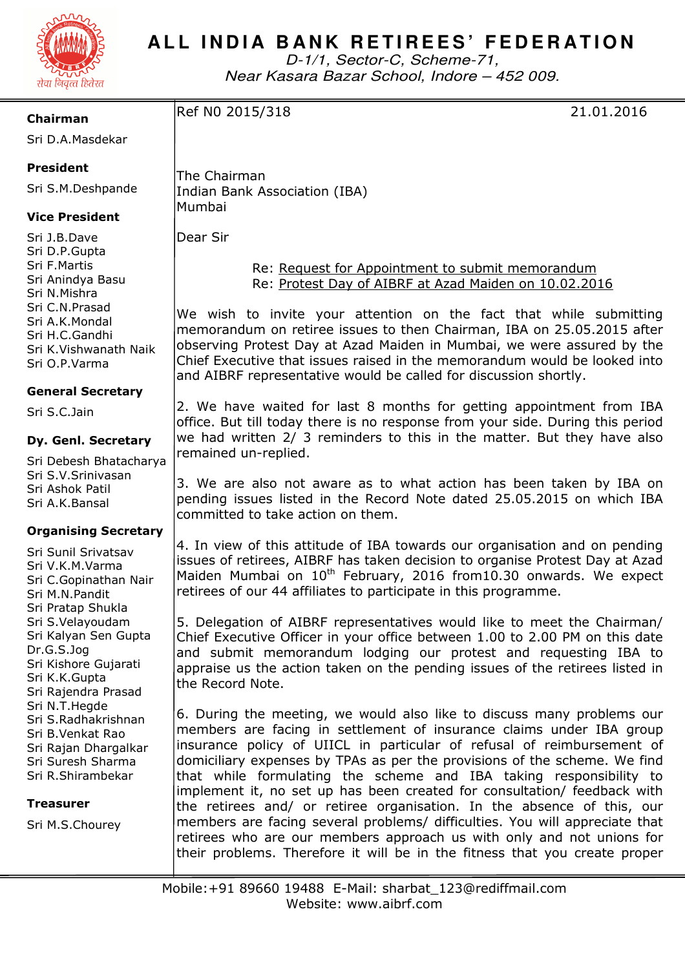

# ALL INDIA BANK RETIREES' FEDERATION

D-1/1, Sector-C, Scheme-71, Near Kasara Bazar School, Indore – 452 009.

**Chairman** 

Sri D.A.Masdekar

## **President**

Sri S.M.Deshpande

## **Vice President**

Sri J.B.Dave Sri D.P.Gupta Sri F.Martis Sri Anindya Basu Sri N.Mishra Sri C.N.Prasad Sri A.K.Mondal Sri H.C.Gandhi Sri K.Vishwanath Naik Sri O.P.Varma

### **General Secretary**

Sri S.C.Jain

### **Dy. Genl. Secretary**

Sri Debesh Bhatacharya Sri S.V.Srinivasan Sri Ashok Patil Sri A.K.Bansal

### **Organising Secretary**

Sri Sunil Srivatsav Sri V.K.M.Varma Sri C.Gopinathan Nair Sri M.N.Pandit Sri Pratap Shukla Sri S.Velayoudam Sri Kalyan Sen Gupta Dr.G.S.Jog Sri Kishore Gujarati Sri K.K.Gupta Sri Rajendra Prasad Sri N.T.Hegde Sri S.Radhakrishnan Sri B.Venkat Rao Sri Rajan Dhargalkar Sri Suresh Sharma Sri R.Shirambekar

#### **Treasurer**

Sri M.S.Chourey

The Chairman Indian Bank Association (IBA) Mumbai

Dear Sir

 Re: Request for Appointment to submit memorandum Re: Protest Day of AIBRF at Azad Maiden on 10.02.2016

We wish to invite your attention on the fact that while submitting memorandum on retiree issues to then Chairman, IBA on 25.05.2015 after observing Protest Day at Azad Maiden in Mumbai, we were assured by the Chief Executive that issues raised in the memorandum would be looked into and AIBRF representative would be called for discussion shortly.

2. We have waited for last 8 months for getting appointment from IBA office. But till today there is no response from your side. During this period we had written 2/ 3 reminders to this in the matter. But they have also remained un-replied.

3. We are also not aware as to what action has been taken by IBA on pending issues listed in the Record Note dated 25.05.2015 on which IBA committed to take action on them.

4. In view of this attitude of IBA towards our organisation and on pending issues of retirees, AIBRF has taken decision to organise Protest Day at Azad Maiden Mumbai on 10<sup>th</sup> February, 2016 from10.30 onwards. We expect retirees of our 44 affiliates to participate in this programme.

5. Delegation of AIBRF representatives would like to meet the Chairman/ Chief Executive Officer in your office between 1.00 to 2.00 PM on this date and submit memorandum lodging our protest and requesting IBA to appraise us the action taken on the pending issues of the retirees listed in the Record Note.

6. During the meeting, we would also like to discuss many problems our members are facing in settlement of insurance claims under IBA group insurance policy of UIICL in particular of refusal of reimbursement of domiciliary expenses by TPAs as per the provisions of the scheme. We find that while formulating the scheme and IBA taking responsibility to implement it, no set up has been created for consultation/ feedback with the retirees and/ or retiree organisation. In the absence of this, our members are facing several problems/ difficulties. You will appreciate that retirees who are our members approach us with only and not unions for their problems. Therefore it will be in the fitness that you create proper

## Ref N0 2015/318 21.01.2016